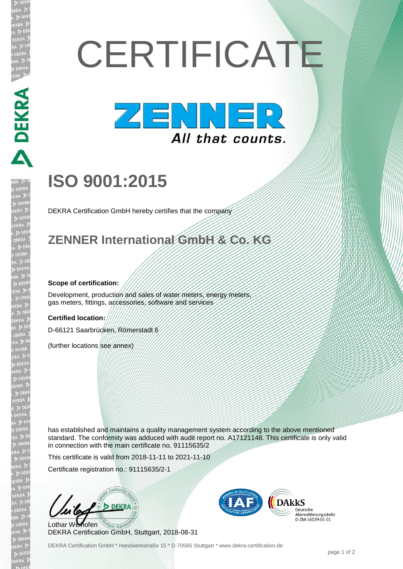# **CERTIFICATE**



## **ISO 9001:2015**

DEKRA Certification GmbH hereby certifies that the company

### **ZENNER International GmbH & Co. KG**

#### **Scope of certification:**

**DEKRA** 

Development, production and sales of water meters, energy meters gas meters, fittings, accessories, software and services

#### **Certified location:**

D-66121 Saarbrücken, Römerstadt 6

(further locations see annex)

has established and maintains a quality management system according to the above mentioned standard. The conformity was adduced with audit report no. A17121148. This certificate is only valid in connection with the main certificate no. 91115635/2

This certificate is valid from 2018-11-11 to 2021-11-10

Certificate registration no.: 91115635/2-1

**DFKR** Lothar Weihofen

DEKRA Certification GmbH, Stuttgart, 2018-08-31



DEKRA Certification GmbH \* Handwerkstraße 15 \* D-70565 Stuttgart \* www.dekra-certification.de